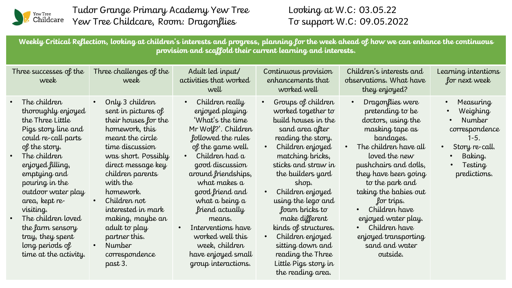

Tudor Grange Primary Academy Yew Tree Yew Tree Childcare, Room: Dragonflies

Looking at W.C: 03.05.22 To support W.C: 09.05.2022

**Weekly Critical Reflection, looking at children's interests and progress, planning for the week ahead of how we can enhance the continuous provision and scaffold their current learning and interests.**

| Three successes of the<br>week                                                                                                                                                                                                                                                                                                                             | Three challenges of the<br>week                                                                                                                                                                                                                                                                                                                             | Adult led input/<br>activities that worked<br>well                                                                                                                                                                                                                                                                                                                              | Continuous provision<br>enhancements that<br>worked well                                                                                                                                                                                                                                                                                                                                                                           | Children's interests and<br>observations. What have<br>they enjoyed?                                                                                                                                                                                                                                                                                                  | Learning intentions<br>for next week                                                                                       |
|------------------------------------------------------------------------------------------------------------------------------------------------------------------------------------------------------------------------------------------------------------------------------------------------------------------------------------------------------------|-------------------------------------------------------------------------------------------------------------------------------------------------------------------------------------------------------------------------------------------------------------------------------------------------------------------------------------------------------------|---------------------------------------------------------------------------------------------------------------------------------------------------------------------------------------------------------------------------------------------------------------------------------------------------------------------------------------------------------------------------------|------------------------------------------------------------------------------------------------------------------------------------------------------------------------------------------------------------------------------------------------------------------------------------------------------------------------------------------------------------------------------------------------------------------------------------|-----------------------------------------------------------------------------------------------------------------------------------------------------------------------------------------------------------------------------------------------------------------------------------------------------------------------------------------------------------------------|----------------------------------------------------------------------------------------------------------------------------|
| The children<br>thoroughly enjoyed<br>the Three Little<br>Pigs story line and<br>could re-call parts<br>of the story.<br>The children<br>enjoyed filling,<br>emptying and<br>pouring in the<br>outdoor water play<br>area, kept re-<br>visiting.<br>The children loved<br>the farm sensory<br>tray, they spent<br>long periods of<br>time at the activity. | Only 3 children<br>sent in pictures of<br>their houses for the<br>homework, this<br>meant the circle<br>time discussion<br>was short. Possibly<br>direct message key<br>children parents<br>with the<br>homework.<br>Children not<br>interested in mark<br>making, maybe an<br>adult to play<br>partner this.<br><b>Number</b><br>correspondence<br>past 3. | Children really<br>enjoyed playing<br>'What's the time<br>Mr Wolf?'. Children<br>followed the rules<br>of the game well.<br>Children had a<br>good discussion<br>around friendships,<br>what makes a<br>good friend and<br>what a being a<br>friend actually<br>means.<br>Interventions have<br>worked well this<br>week, children<br>have enjoyed small<br>group interactions. | Groups of children<br>$\bullet$<br>worked together to<br>build houses in the<br>sand area after<br>reading the story.<br>Children enjoyed<br>matching bricks,<br>sticks and straw in<br>the builders yard<br>shop.<br>Children enjoyed<br>using the lego and<br>foam bricks to<br>make different<br>kinds of structures.<br>Children enjoyed<br>sitting down and<br>reading the Three<br>Little Pigs story in<br>the reading area. | Dragonflies were<br>pretending to be<br>doctors, using the<br>masking tape as<br>bandages.<br>The children have all<br>loved the new<br>pushchairs and dolls,<br>they have been going<br>to the park and<br>taking the babies out<br>for trips.<br>Children have<br>enjoyed water play.<br>Children have<br>enjoyed transporting<br>sand and water<br><i>outside.</i> | Measuring<br>Weighing<br><b>Number</b><br>correspondence<br>$1-5.$<br>Story re-call.<br>Baking.<br>Testing<br>predictions. |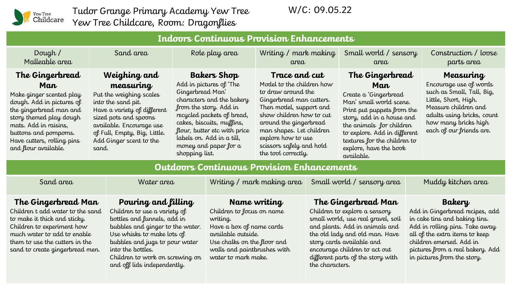

Tudor Grange Primary Academy Yew Tree Yew Tree Childcare, Room: Dragonflies

W/C: 09.05.22

| <b>Indoors Continuous Provision Enhancements</b>                                                                                                                                                                                             |                                                                                                                                                                                                                                    |                                                                                                                                                                                                                                                                                             |  |                                                                                                                                                                                                                                                                                    |  |                                                                                                                                                                                                                                                                                      |  |                                                                                                                                                                                                                                               |  |
|----------------------------------------------------------------------------------------------------------------------------------------------------------------------------------------------------------------------------------------------|------------------------------------------------------------------------------------------------------------------------------------------------------------------------------------------------------------------------------------|---------------------------------------------------------------------------------------------------------------------------------------------------------------------------------------------------------------------------------------------------------------------------------------------|--|------------------------------------------------------------------------------------------------------------------------------------------------------------------------------------------------------------------------------------------------------------------------------------|--|--------------------------------------------------------------------------------------------------------------------------------------------------------------------------------------------------------------------------------------------------------------------------------------|--|-----------------------------------------------------------------------------------------------------------------------------------------------------------------------------------------------------------------------------------------------|--|
| Dough $/$<br>Malleable area                                                                                                                                                                                                                  | Sand area                                                                                                                                                                                                                          | Role play area                                                                                                                                                                                                                                                                              |  | Writing / mark making<br>area                                                                                                                                                                                                                                                      |  | Small world / sensory<br>area                                                                                                                                                                                                                                                        |  | Construction / loose<br>parts area                                                                                                                                                                                                            |  |
| The Gingerbread<br>Man<br>Make ginger scented play<br>dough. Add in pictures of<br>the gingerbread man and<br>story themed play dough<br>mats. Add in raisins,<br>buttons and pompoms.<br>Have cutters, rolling pins<br>and flour available. | Weighing and<br>measuring<br>Put the weighing scales<br>into the sand pit.<br>Have a variety of different<br>sized pots and spoons<br>available. Encourage use<br>of Full, Empty, Big, Little.<br>Add Ginger scent to the<br>sand. | <b>Bakers Shop</b><br>Add in pictures of 'The<br>Gingerbread Man'<br>characters and the bakery<br>from the story. Add in<br>recycled packets of bread,<br>cakes, biscuits, muffins,<br>flour, butter etc with price<br>labels on. Add in a till,<br>money and paper for a<br>shopping list. |  | Trace and cut<br>Model to the children how<br>to draw around the<br>Gingerbread man cutters.<br>Then model, support and<br>show children how to cut<br>around the gingerbread<br>man shapes. Let children<br>explore how to use<br>scissors safely and hold<br>the tool correctly. |  | The Gingerbread<br>Man<br>Create a 'Gingerbread<br>Man'small world scene.<br>Print put puppets from the<br>story, add in a house and<br>the animals for children<br>to explore. Add in different<br>textures for the children to<br>explore, have the book<br>available.             |  | <b>Measuring</b><br>Encourage use of words<br>such as Small, Tall, Big,<br>Little, Short, High.<br>Measure children and<br>adults using bricks, count<br>how many bricks high<br>each of our friends are.                                     |  |
| <b>Outdoors Continuous Provision Enhancements</b>                                                                                                                                                                                            |                                                                                                                                                                                                                                    |                                                                                                                                                                                                                                                                                             |  |                                                                                                                                                                                                                                                                                    |  |                                                                                                                                                                                                                                                                                      |  |                                                                                                                                                                                                                                               |  |
| Sand area<br>Water area                                                                                                                                                                                                                      |                                                                                                                                                                                                                                    |                                                                                                                                                                                                                                                                                             |  | Writing / mark making area Small world / sensory area                                                                                                                                                                                                                              |  |                                                                                                                                                                                                                                                                                      |  | Muddy kitchen area                                                                                                                                                                                                                            |  |
| The Gingerbread Man<br>Children t add water to the sand<br>to make it thick and sticky.<br>Children to experiment how<br>much water to add to enable<br>them to use the cutters in the<br>sand to create gingerbread men.                    | into the bottles.                                                                                                                                                                                                                  | Pouring and filling<br>Children to use a variety of<br>bottles and funnels, add in<br>bubbles and ginger to the water.<br>Use whisks to make lots of<br>bubbles and jugs to pour water<br>Children to work on screwing on<br>and off lids independently.                                    |  | Name writing<br>Children to focus on name<br>writing.<br>Have a box of name cards<br>available outside.<br>Use chalks on the floor and<br>walls and paintbrushes with<br>water to mark make.                                                                                       |  | The Gingerbread Man<br>Children to explore a sensory<br>small world, use real gravel, soil<br>and plants. Add in animals and<br>the old lady and old man. Have<br>story cards available and<br>encourage children to act out<br>different parts of the story with<br>the characters. |  | Bakery<br>Add in Gingerbread recipes, add<br>in cake tins and baking tins.<br>Add in rolling pins. Take away<br>all of the extra items to keep<br>children emersed. Add in<br>pictures from a real bakery. Add<br>in pictures from the story. |  |